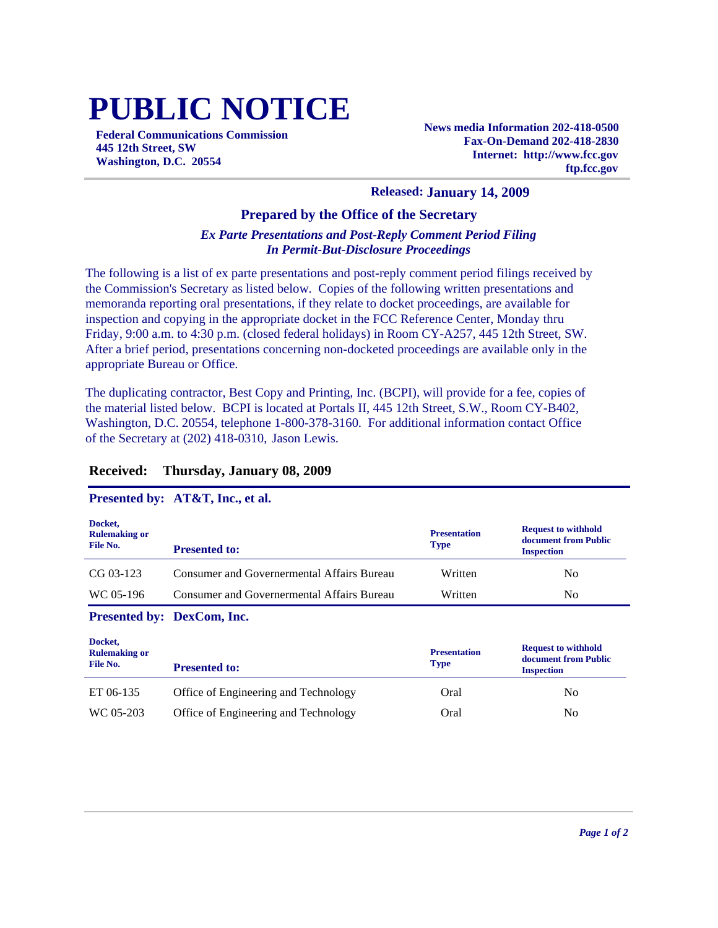# **PUBLIC NOTICE**

**Federal Communications Commission 445 12th Street, SW Washington, D.C. 20554**

**News media Information 202-418-0500 Fax-On-Demand 202-418-2830 Internet: http://www.fcc.gov ftp.fcc.gov**

#### **Released: January 14, 2009**

### **Prepared by the Office of the Secretary**

## *Ex Parte Presentations and Post-Reply Comment Period Filing In Permit-But-Disclosure Proceedings*

The following is a list of ex parte presentations and post-reply comment period filings received by the Commission's Secretary as listed below. Copies of the following written presentations and memoranda reporting oral presentations, if they relate to docket proceedings, are available for inspection and copying in the appropriate docket in the FCC Reference Center, Monday thru Friday, 9:00 a.m. to 4:30 p.m. (closed federal holidays) in Room CY-A257, 445 12th Street, SW. After a brief period, presentations concerning non-docketed proceedings are available only in the appropriate Bureau or Office.

The duplicating contractor, Best Copy and Printing, Inc. (BCPI), will provide for a fee, copies of the material listed below. BCPI is located at Portals II, 445 12th Street, S.W., Room CY-B402, Washington, D.C. 20554, telephone 1-800-378-3160. For additional information contact Office of the Secretary at (202) 418-0310, Jason Lewis.

### **Received: Thursday, January 08, 2009**

#### **Presented by: AT&T, Inc., et al.**

| Docket,<br><b>Rulemaking or</b><br>File No. | <b>Presented to:</b>                              | <b>Presentation</b><br><b>Type</b> | <b>Request to withhold</b><br>document from Public<br><b>Inspection</b> |
|---------------------------------------------|---------------------------------------------------|------------------------------------|-------------------------------------------------------------------------|
| $CG 03-123$                                 | <b>Consumer and Governermental Affairs Bureau</b> | Written                            | No.                                                                     |
| WC 05-196                                   | Consumer and Governermental Affairs Bureau        | Written                            | N <sub>0</sub>                                                          |
| Presented by: DexCom, Inc.                  |                                                   |                                    |                                                                         |
| Docket,<br><b>Rulemaking or</b><br>File No. | <b>Presented to:</b>                              | <b>Presentation</b><br><b>Type</b> | <b>Request to withhold</b><br>document from Public<br><b>Inspection</b> |

ET 06-135 Office of Engineering and Technology Oral Oral No

| WC 05-203 | Office of Engineering and Technology | Oral | N <sub>0</sub> |
|-----------|--------------------------------------|------|----------------|
|           |                                      |      |                |